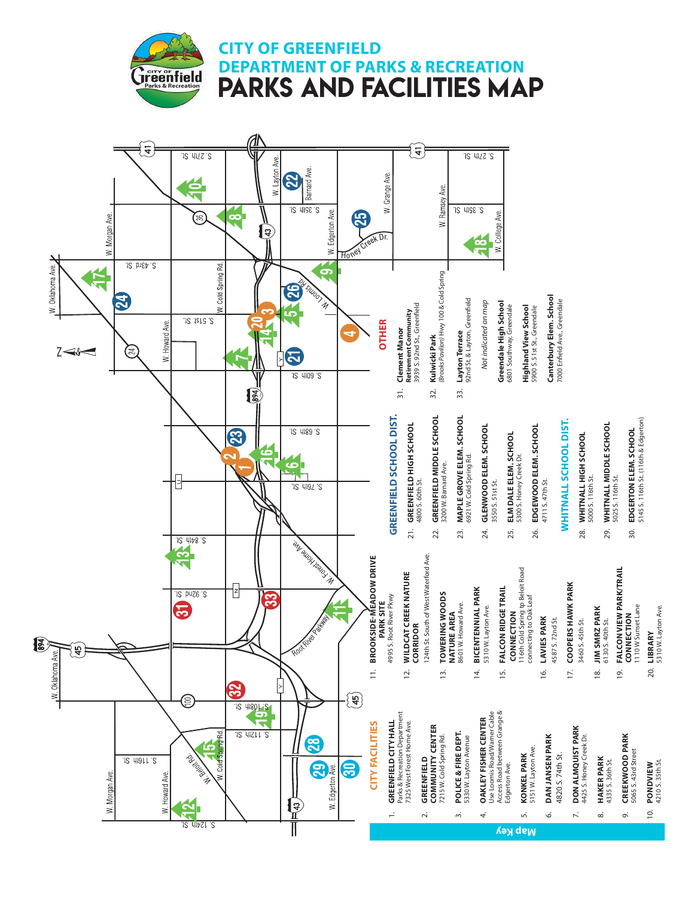**CITY OF GREENFIELD**

**Treenfield** 

**DEPARTMENT OF PARKS & RECREATION** PARKS AND FACILITIES MAP